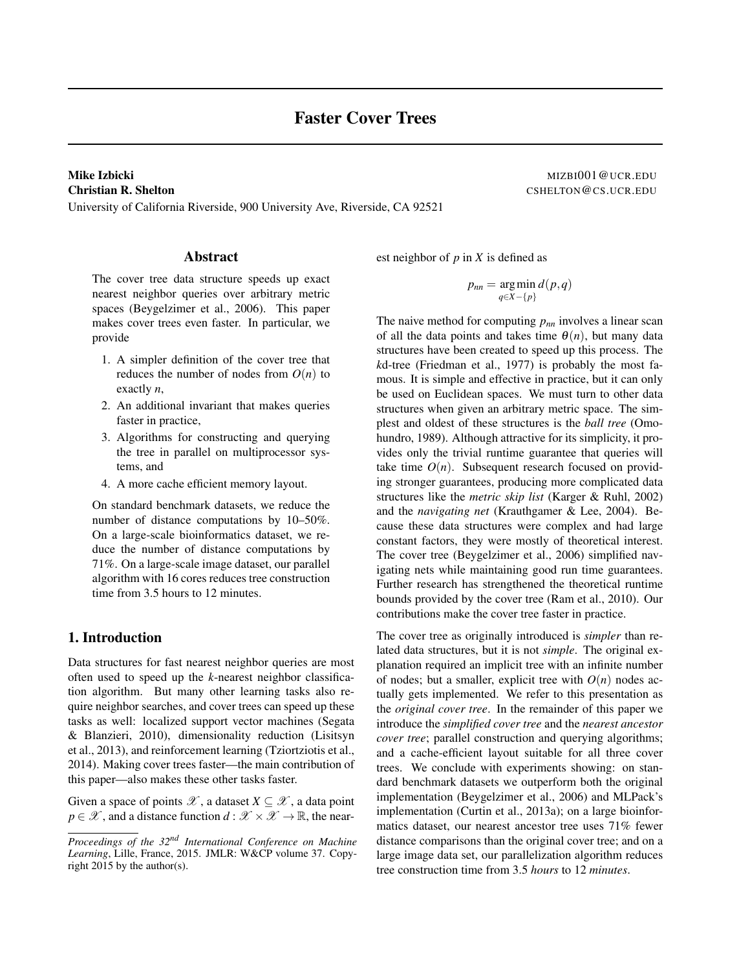# **Mike Izbicki** MIZBI001@UCR.EDU

University of California Riverside, 900 University Ave, Riverside, CA 92521

Christian R. Shelton Communication CSHELTON CONSECTEDUCR. EDU

# Abstract

The cover tree data structure speeds up exact nearest neighbor queries over arbitrary metric spaces (Beygelzimer et al., 2006). This paper makes cover trees even faster. In particular, we provide

- 1. A simpler definition of the cover tree that reduces the number of nodes from  $O(n)$  to exactly *n*,
- 2. An additional invariant that makes queries faster in practice,
- 3. Algorithms for constructing and querying the tree in parallel on multiprocessor systems, and
- 4. A more cache efficient memory layout.

On standard benchmark datasets, we reduce the number of distance computations by 10–50%. On a large-scale bioinformatics dataset, we reduce the number of distance computations by 71%. On a large-scale image dataset, our parallel algorithm with 16 cores reduces tree construction time from 3.5 hours to 12 minutes.

## 1. Introduction

Data structures for fast nearest neighbor queries are most often used to speed up the *k*-nearest neighbor classification algorithm. But many other learning tasks also require neighbor searches, and cover trees can speed up these tasks as well: localized support vector machines (Segata & Blanzieri, 2010), dimensionality reduction (Lisitsyn et al., 2013), and reinforcement learning (Tziortziotis et al., 2014). Making cover trees faster—the main contribution of this paper—also makes these other tasks faster.

Given a space of points  $\mathscr{X}$ , a dataset  $X \subseteq \mathscr{X}$ , a data point  $p \in \mathscr{X}$ , and a distance function  $d : \mathscr{X} \times \mathscr{X} \to \mathbb{R}$ , the nearest neighbor of *p* in *X* is defined as

$$
p_{nn} = \underset{q \in X - \{p\}}{\arg \min} d(p,q)
$$

The naive method for computing *pnn* involves a linear scan of all the data points and takes time  $\theta(n)$ , but many data structures have been created to speed up this process. The *k*d-tree (Friedman et al., 1977) is probably the most famous. It is simple and effective in practice, but it can only be used on Euclidean spaces. We must turn to other data structures when given an arbitrary metric space. The simplest and oldest of these structures is the *ball tree* (Omohundro, 1989). Although attractive for its simplicity, it provides only the trivial runtime guarantee that queries will take time  $O(n)$ . Subsequent research focused on providing stronger guarantees, producing more complicated data structures like the *metric skip list* (Karger & Ruhl, 2002) and the *navigating net* (Krauthgamer & Lee, 2004). Because these data structures were complex and had large constant factors, they were mostly of theoretical interest. The cover tree (Beygelzimer et al., 2006) simplified navigating nets while maintaining good run time guarantees. Further research has strengthened the theoretical runtime bounds provided by the cover tree (Ram et al., 2010). Our contributions make the cover tree faster in practice.

The cover tree as originally introduced is *simpler* than related data structures, but it is not *simple*. The original explanation required an implicit tree with an infinite number of nodes; but a smaller, explicit tree with  $O(n)$  nodes actually gets implemented. We refer to this presentation as the *original cover tree*. In the remainder of this paper we introduce the *simplified cover tree* and the *nearest ancestor cover tree*; parallel construction and querying algorithms; and a cache-efficient layout suitable for all three cover trees. We conclude with experiments showing: on standard benchmark datasets we outperform both the original implementation (Beygelzimer et al., 2006) and MLPack's implementation (Curtin et al., 2013a); on a large bioinformatics dataset, our nearest ancestor tree uses 71% fewer distance comparisons than the original cover tree; and on a large image data set, our parallelization algorithm reduces tree construction time from 3.5 *hours* to 12 *minutes*.

*Proceedings of the 32nd International Conference on Machine Learning*, Lille, France, 2015. JMLR: W&CP volume 37. Copyright 2015 by the author(s).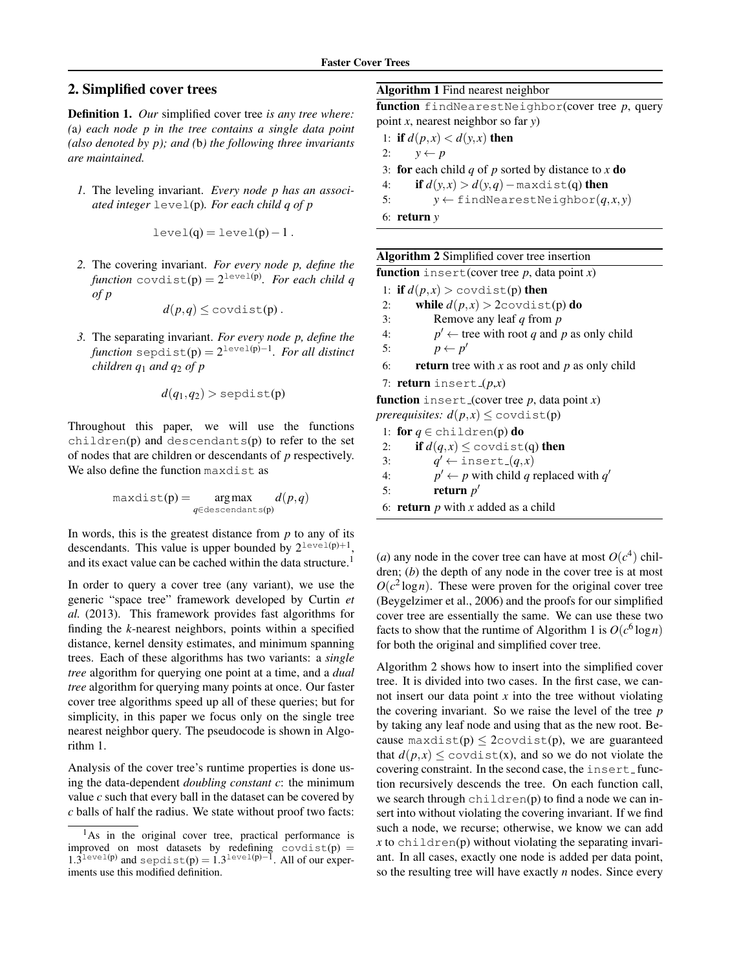# 2. Simplified cover trees

Definition 1. *Our* simplified cover tree *is any tree where: (*a*) each node p in the tree contains a single data point (also denoted by p); and (*b*) the following three invariants are maintained.*

*1.* The leveling invariant. *Every node p has an associated integer* level(p)*. For each child q of p*

$$
level(q) = level(p) - 1.
$$

*2.* The covering invariant. *For every node p, define the*  $\emph{function}$   $\emph{covdist(p)} = 2^{\emph{level(p)}}.$  For each child  $q$ *of p*

$$
d(p,q) \leq \text{covdist}(p).
$$

*3.* The separating invariant. *For every node p, define the function* sepdist(p) = 2 level(p)−1 *. For all distinct children q*<sup>1</sup> *and q*<sup>2</sup> *of p*

$$
d(q_1, q_2) > \text{sepdist}(p)
$$

Throughout this paper, we will use the functions children( $p$ ) and descendants( $p$ ) to refer to the set of nodes that are children or descendants of *p* respectively. We also define the function maxdist as

$$
\text{maxdist}(p) = \underset{q \in \text{descendants}(p)}{\arg \max} d(p, q)
$$

In words, this is the greatest distance from *p* to any of its descendants. This value is upper bounded by  $2^{\text{level}(p)+1}$ , and its exact value can be cached within the data structure.<sup>1</sup>

In order to query a cover tree (any variant), we use the generic "space tree" framework developed by Curtin *et al.* (2013). This framework provides fast algorithms for finding the *k*-nearest neighbors, points within a specified distance, kernel density estimates, and minimum spanning trees. Each of these algorithms has two variants: a *single tree* algorithm for querying one point at a time, and a *dual tree* algorithm for querying many points at once. Our faster cover tree algorithms speed up all of these queries; but for simplicity, in this paper we focus only on the single tree nearest neighbor query. The pseudocode is shown in Algorithm 1.

Analysis of the cover tree's runtime properties is done using the data-dependent *doubling constant c*: the minimum value *c* such that every ball in the dataset can be covered by *c* balls of half the radius. We state without proof two facts:

#### Algorithm 1 Find nearest neighbor

function findNearestNeighbor(cover tree *p*, query point *x*, nearest neighbor so far *y*)

- 1: if  $d(p,x) < d(y,x)$  then 2:  $y \leftarrow p$ 3: for each child *q* of *p* sorted by distance to *x* do 4: **if**  $d(y,x) > d(y,q)$  - maxdist(q) then
- 5:  $y \leftarrow \text{findNearestNeighbour}(q, x, y)$
- 6: return *y*

| Algorithm 2 Simplified cover tree insertion |  |
|---------------------------------------------|--|
|                                             |  |

| function insert (cover tree $p$ , data point $x$ ) |  |
|----------------------------------------------------|--|
|----------------------------------------------------|--|

1: **if**  $d(p,x) >$  covdist(p) then 2: while  $d(p,x) > 2$ covdist(p) do

3: Remove any leaf *q* from *p*

4: *p*  $p' \leftarrow$  tree with root *q* and *p* as only child 5:  $p \leftarrow p'$ 

6: **return** tree with *x* as root and *p* as only child

7: **return** insert  $(p,x)$ 

**function** insert (cover tree  $p$ , data point  $x$ )

*prerequisites:*  $d(p, x) \leq$  covdist(p) 1: for  $q \in \text{children}(p)$  do

2: **if**  $d(q, x) \leq \text{covdist}(q)$  then

3: *q*  $q' \leftarrow \text{insert}(q, x)$ 

4:  $p' \leftarrow p$  with child *q* replaced with *q'* 

5: **return**  $p'$ 

```
6: return p with x added as a child
```
(*a*) any node in the cover tree can have at most  $O(c^4)$  children; (*b*) the depth of any node in the cover tree is at most  $O(c^2 \log n)$ . These were proven for the original cover tree (Beygelzimer et al., 2006) and the proofs for our simplified cover tree are essentially the same. We can use these two facts to show that the runtime of Algorithm 1 is  $O(c^6 \log n)$ for both the original and simplified cover tree.

Algorithm 2 shows how to insert into the simplified cover tree. It is divided into two cases. In the first case, we cannot insert our data point *x* into the tree without violating the covering invariant. So we raise the level of the tree *p* by taking any leaf node and using that as the new root. Because maxdist(p)  $\leq$  2covdist(p), we are guaranteed that  $d(p, x) \leq$  covdist(x), and so we do not violate the covering constraint. In the second case, the insert\_function recursively descends the tree. On each function call, we search through  $childer(p)$  to find a node we can insert into without violating the covering invariant. If we find such a node, we recurse; otherwise, we know we can add  $x$  to children(p) without violating the separating invariant. In all cases, exactly one node is added per data point, so the resulting tree will have exactly *n* nodes. Since every

<sup>&</sup>lt;sup>1</sup>As in the original cover tree, practical performance is improved on most datasets by redefining  $covdist(p) =$  $1.3^{\text{level}(p)}$  and sepdist(p) =  $1.3^{\text{level}(p)-1}$ . All of our experiments use this modified definition.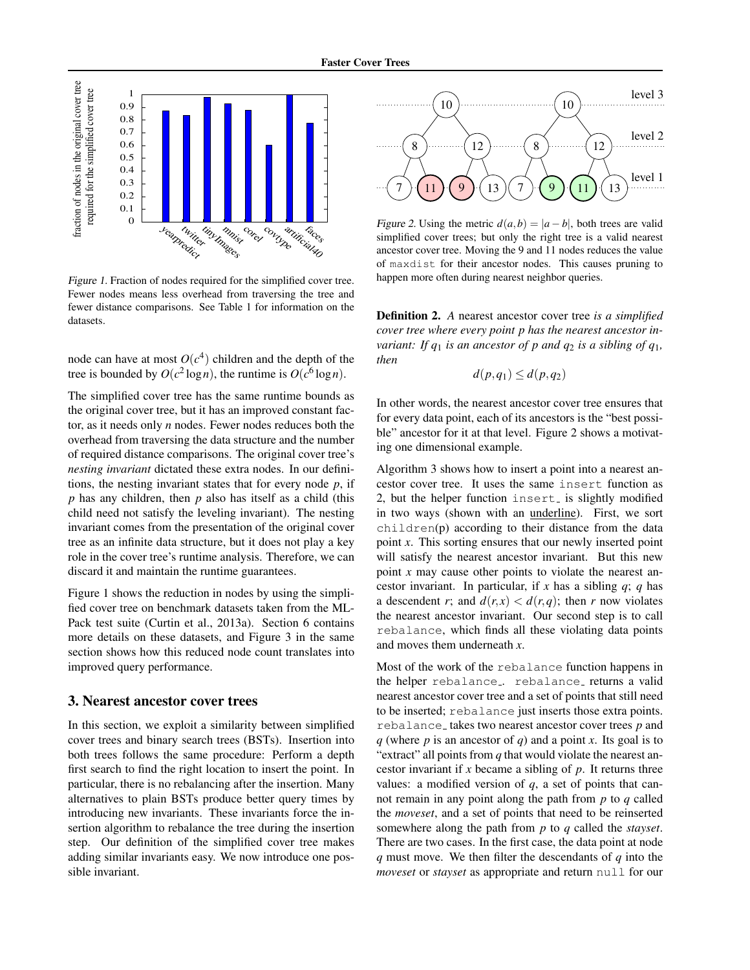

Figure 1. Fraction of nodes required for the simplified cover tree. Fewer nodes means less overhead from traversing the tree and fewer distance comparisons. See Table 1 for information on the datasets.

node can have at most  $O(c^4)$  children and the depth of the tree is bounded by  $O(c^2 \log n)$ , the runtime is  $O(c^6 \log n)$ .

The simplified cover tree has the same runtime bounds as the original cover tree, but it has an improved constant factor, as it needs only *n* nodes. Fewer nodes reduces both the overhead from traversing the data structure and the number of required distance comparisons. The original cover tree's *nesting invariant* dictated these extra nodes. In our definitions, the nesting invariant states that for every node *p*, if *p* has any children, then *p* also has itself as a child (this child need not satisfy the leveling invariant). The nesting invariant comes from the presentation of the original cover tree as an infinite data structure, but it does not play a key role in the cover tree's runtime analysis. Therefore, we can discard it and maintain the runtime guarantees.

Figure 1 shows the reduction in nodes by using the simplified cover tree on benchmark datasets taken from the ML-Pack test suite (Curtin et al., 2013a). Section 6 contains more details on these datasets, and Figure 3 in the same section shows how this reduced node count translates into improved query performance.

#### 3. Nearest ancestor cover trees

In this section, we exploit a similarity between simplified cover trees and binary search trees (BSTs). Insertion into both trees follows the same procedure: Perform a depth first search to find the right location to insert the point. In particular, there is no rebalancing after the insertion. Many alternatives to plain BSTs produce better query times by introducing new invariants. These invariants force the insertion algorithm to rebalance the tree during the insertion step. Our definition of the simplified cover tree makes adding similar invariants easy. We now introduce one possible invariant.



Figure 2. Using the metric  $d(a,b) = |a-b|$ , both trees are valid simplified cover trees; but only the right tree is a valid nearest ancestor cover tree. Moving the 9 and 11 nodes reduces the value of maxdist for their ancestor nodes. This causes pruning to happen more often during nearest neighbor queries.

Definition 2. *A* nearest ancestor cover tree *is a simplified cover tree where every point p has the nearest ancestor invariant: If*  $q_1$  *is an ancestor of p and*  $q_2$  *is a sibling of*  $q_1$ *, then*

 $d(p,q_1) \leq d(p,q_2)$ 

In other words, the nearest ancestor cover tree ensures that for every data point, each of its ancestors is the "best possible" ancestor for it at that level. Figure 2 shows a motivating one dimensional example.

Algorithm 3 shows how to insert a point into a nearest ancestor cover tree. It uses the same insert function as 2, but the helper function insert is slightly modified in two ways (shown with an underline). First, we sort children(p) according to their distance from the data point *x*. This sorting ensures that our newly inserted point will satisfy the nearest ancestor invariant. But this new point *x* may cause other points to violate the nearest ancestor invariant. In particular, if *x* has a sibling *q*; *q* has a descendent *r*; and  $d(r, x) < d(r, q)$ ; then *r* now violates the nearest ancestor invariant. Our second step is to call rebalance, which finds all these violating data points and moves them underneath *x*.

Most of the work of the rebalance function happens in the helper rebalance.. rebalance returns a valid nearest ancestor cover tree and a set of points that still need to be inserted; rebalance just inserts those extra points. rebalance<sub>-</sub> takes two nearest ancestor cover trees *p* and *q* (where *p* is an ancestor of *q*) and a point *x*. Its goal is to "extract" all points from *q* that would violate the nearest ancestor invariant if *x* became a sibling of *p*. It returns three values: a modified version of *q*, a set of points that cannot remain in any point along the path from *p* to *q* called the *moveset*, and a set of points that need to be reinserted somewhere along the path from *p* to *q* called the *stayset*. There are two cases. In the first case, the data point at node *q* must move. We then filter the descendants of *q* into the *moveset* or *stayset* as appropriate and return null for our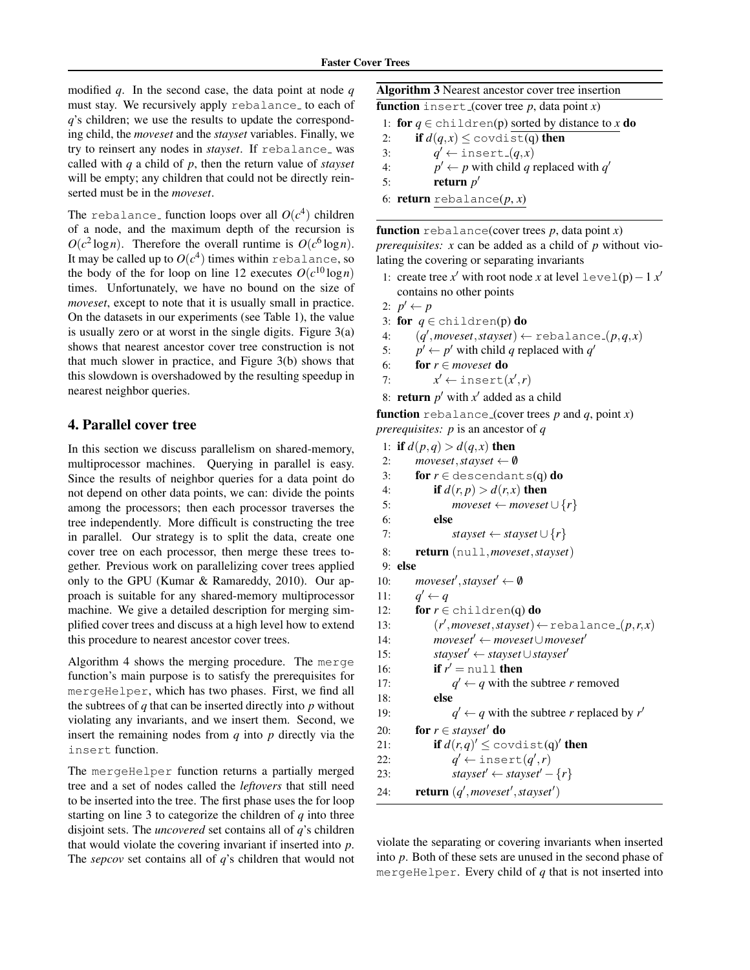modified *q*. In the second case, the data point at node *q* must stay. We recursively apply rebalance to each of *q*'s children; we use the results to update the corresponding child, the *moveset* and the *stayset* variables. Finally, we try to reinsert any nodes in *stayset*. If rebalance was called with *q* a child of *p*, then the return value of *stayset* will be empty; any children that could not be directly reinserted must be in the *moveset*.

The rebalance<sub>-</sub> function loops over all  $O(c^4)$  children of a node, and the maximum depth of the recursion is  $O(c^2 \log n)$ . Therefore the overall runtime is  $O(c^6 \log n)$ . It may be called up to  $O(c^4)$  times within <code>rebalance,</code> so the body of the for loop on line 12 executes  $O(c^{10} \log n)$ times. Unfortunately, we have no bound on the size of *moveset*, except to note that it is usually small in practice. On the datasets in our experiments (see Table 1), the value is usually zero or at worst in the single digits. Figure  $3(a)$ shows that nearest ancestor cover tree construction is not that much slower in practice, and Figure 3(b) shows that this slowdown is overshadowed by the resulting speedup in nearest neighbor queries.

#### 4. Parallel cover tree

In this section we discuss parallelism on shared-memory, multiprocessor machines. Querying in parallel is easy. Since the results of neighbor queries for a data point do not depend on other data points, we can: divide the points among the processors; then each processor traverses the tree independently. More difficult is constructing the tree in parallel. Our strategy is to split the data, create one cover tree on each processor, then merge these trees together. Previous work on parallelizing cover trees applied only to the GPU (Kumar & Ramareddy, 2010). Our approach is suitable for any shared-memory multiprocessor machine. We give a detailed description for merging simplified cover trees and discuss at a high level how to extend this procedure to nearest ancestor cover trees.

Algorithm 4 shows the merging procedure. The merge function's main purpose is to satisfy the prerequisites for mergeHelper, which has two phases. First, we find all the subtrees of  $q$  that can be inserted directly into  $p$  without violating any invariants, and we insert them. Second, we insert the remaining nodes from *q* into *p* directly via the insert function.

The mergeHelper function returns a partially merged tree and a set of nodes called the *leftovers* that still need to be inserted into the tree. The first phase uses the for loop starting on line 3 to categorize the children of *q* into three disjoint sets. The *uncovered* set contains all of *q*'s children that would violate the covering invariant if inserted into *p*. The *sepcov* set contains all of *q*'s children that would not

Algorithm 3 Nearest ancestor cover tree insertion

function insert (cover tree  $p$ , data point  $x$ )

```
1: for q \in \text{children}(p) sorted by distance to x do
```
2: **if**  $d(q, x) \leq$  covdist(q) then

3: *q*  $q' \leftarrow \text{insert}(q, x)$ 4: *p*  $q' \leftarrow p$  with child *q* replaced with *q'* 

5: **return**  $p'$ 

```
6: return rebalance(p, x)
```
function rebalance(cover trees  $p$ , data point  $x$ ) *prerequisites: x* can be added as a child of *p* without violating the covering or separating invariants

1: create tree *x*<sup>*'*</sup> with root node *x* at level level(p) – 1 *x*<sup>*'*</sup> contains no other points

$$
2: p' \leftarrow p
$$

- 3: **for**  $q \in \text{children}(p)$  **do**
- 4:  $(q', \text{moveset}, \text{stayset}) \leftarrow \text{rebalance}_-(p, q, x)$
- 5:  $p' \leftarrow p'$  with child *q* replaced with *q'*
- 6: **for**  $r \in \text{moves}$  **do**
- 7: *x*  $y' \leftarrow \text{insert}(x', r)$
- 8: **return**  $p'$  with  $x'$  added as a child

**function** rebalance (cover trees  $p$  and  $q$ , point  $x$ ) *prerequisites: p* is an ancestor of *q*

```
1: if d(p,q) > d(q,x) then
2: moveset,stayset \leftarrow \emptyset3: for r \in descendants(q) do
4: if d(r, p) > d(r, x) then
 5: moveset \leftarrow moveset \cup {r}
 6: else
 7: stayset \leftarrow stayset \cup {r}
 8: return (null,moveset,stayset)
9: else
10: 
11: q
        q' \leftarrow q12: for r \in \text{children}(q) do
13: (r
              (v', \textit{moveset}, \textit{stayset}) \leftarrow \texttt{rebalance}_-(p, r, x)14: moveset' ← moveset∪moveset'
15: stayset<sup>'</sup> ← stayset ∪ stayset'
16: if r' = \text{null} then
17:q' \leftarrow q with the subtree r removed
18: else
19: q
                 v' \leftarrow q with the subtree r replaced by r'20: for r \in stayset' do
21: if d(r, q)' \le \text{covdist}(q)' then
22:v' \leftarrow insert(q', r)23: stayset' ← stayset' – {r}
24: return (q', \text{moveset}', \text{stayset}')
```
violate the separating or covering invariants when inserted into *p*. Both of these sets are unused in the second phase of mergeHelper. Every child of *q* that is not inserted into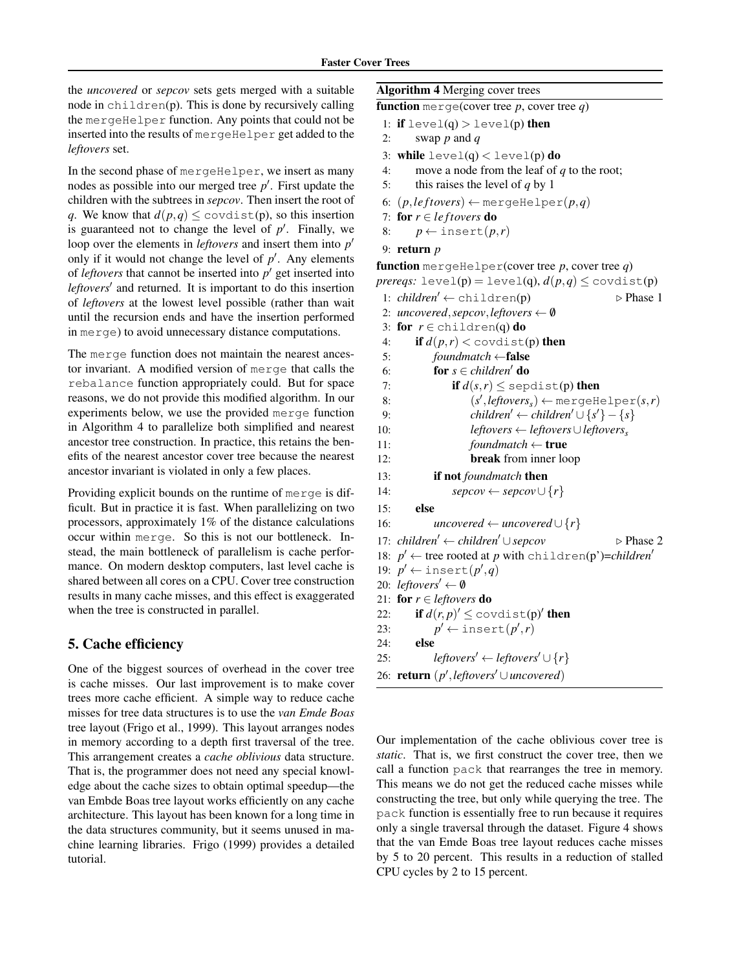the *uncovered* or *sepcov* sets gets merged with a suitable node in  $childern(p)$ . This is done by recursively calling the mergeHelper function. Any points that could not be inserted into the results of mergeHelper get added to the *leftovers* set.

In the second phase of mergeHelper, we insert as many nodes as possible into our merged tree  $p'$ . First update the children with the subtrees in *sepcov*. Then insert the root of *q*. We know that  $d(p,q) \leq \text{covdist}(p)$ , so this insertion is guaranteed not to change the level of  $p'$ . Finally, we loop over the elements in *leftovers* and insert them into  $p'$ only if it would not change the level of  $p'$ . Any elements of *leftovers* that cannot be inserted into  $p'$  get inserted into leftovers<sup>'</sup> and returned. It is important to do this insertion of *leftovers* at the lowest level possible (rather than wait until the recursion ends and have the insertion performed in merge) to avoid unnecessary distance computations.

The merge function does not maintain the nearest ancestor invariant. A modified version of merge that calls the rebalance function appropriately could. But for space reasons, we do not provide this modified algorithm. In our experiments below, we use the provided merge function in Algorithm 4 to parallelize both simplified and nearest ancestor tree construction. In practice, this retains the benefits of the nearest ancestor cover tree because the nearest ancestor invariant is violated in only a few places.

Providing explicit bounds on the runtime of merge is difficult. But in practice it is fast. When parallelizing on two processors, approximately 1% of the distance calculations occur within merge. So this is not our bottleneck. Instead, the main bottleneck of parallelism is cache performance. On modern desktop computers, last level cache is shared between all cores on a CPU. Cover tree construction results in many cache misses, and this effect is exaggerated when the tree is constructed in parallel.

## 5. Cache efficiency

One of the biggest sources of overhead in the cover tree is cache misses. Our last improvement is to make cover trees more cache efficient. A simple way to reduce cache misses for tree data structures is to use the *van Emde Boas* tree layout (Frigo et al., 1999). This layout arranges nodes in memory according to a depth first traversal of the tree. This arrangement creates a *cache oblivious* data structure. That is, the programmer does not need any special knowledge about the cache sizes to obtain optimal speedup—the van Embde Boas tree layout works efficiently on any cache architecture. This layout has been known for a long time in the data structures community, but it seems unused in machine learning libraries. Frigo (1999) provides a detailed tutorial.

#### Algorithm 4 Merging cover trees

```
function merge(cover tree p, cover tree q)
```
- 1: if  $level(q) > level(p)$  then
- 2: swap *p* and *q*
- 3: while  $level(q) < level(p)$  do
- 4: move a node from the leaf of *q* to the root;
- 5: this raises the level of *q* by 1
- 6:  $(p, \text{leftovers}) \leftarrow \text{mergeHelper}(p, q)$
- 7: for  $r \in \text{leftovers do}$
- 8:  $p \leftarrow \text{insert}(p,r)$
- 9: return *p*

**function** mergeHelper(cover tree  $p$ , cover tree  $q$ ) *prereqs:* level(p) = level(q),  $d(p,q) \leq$  covdist(p) 1:  $children' \leftarrow children(p)$   $\triangleright$  Phase 1 2: *uncovered*, *sepcov*, *leftovers*  $\leftarrow \emptyset$ 3: for  $r \in \text{children}(q)$  do 4: **if**  $d(p,r) <$  covdist(p) then 5: *foundmatch* ←false 6: **for**  $s \in children'$  do 7: **if**  $d(s,r) \le$  sepdist(p) then 8: (*s*  $\mathcal{O}'$ *, leftovers*<sub>*s*</sub> $) \leftarrow$  mergeHelper $(s, r)$ 9:  $children' \leftarrow children' \cup \{s'\} - \{s\}$ 10: *leftovers* ← *leftovers*∪*leftovers<sup>s</sup>* 11: *foundmatch* ← true 12: break from inner loop 13: if not *foundmatch* then 14: *sepcov* ← *sepcov*  $\cup$  {*r*} 15: else 16: *uncovered* ← *uncovered*  $\cup$  {*r*} 17: *children'* ← *children'* ∪ *sepcov*  $\triangleright$  Phase 2 18:  $p' \leftarrow$  tree rooted at *p* with children(p')=*children'* 19:  $p' \leftarrow \text{insert}(p', q)$ 20: *leftovers'*  $\leftarrow \emptyset$ 21: **for**  $r \in$  *leftovers* **do** 22: **if**  $d(r, p)' \leq \text{covdist}(p)'$  then 23: *p*  $v' \leftarrow \text{insert}(p', r)$ 24: else 25: *leftovers'* ← *leftovers'*  $\cup$  {*r*} 26: **return** (*p*<sup>*'*</sup>, *leftovers*<sup>*'*</sup>∪*uncovered*)

Our implementation of the cache oblivious cover tree is *static*. That is, we first construct the cover tree, then we call a function pack that rearranges the tree in memory. This means we do not get the reduced cache misses while constructing the tree, but only while querying the tree. The pack function is essentially free to run because it requires only a single traversal through the dataset. Figure 4 shows that the van Emde Boas tree layout reduces cache misses by 5 to 20 percent. This results in a reduction of stalled CPU cycles by 2 to 15 percent.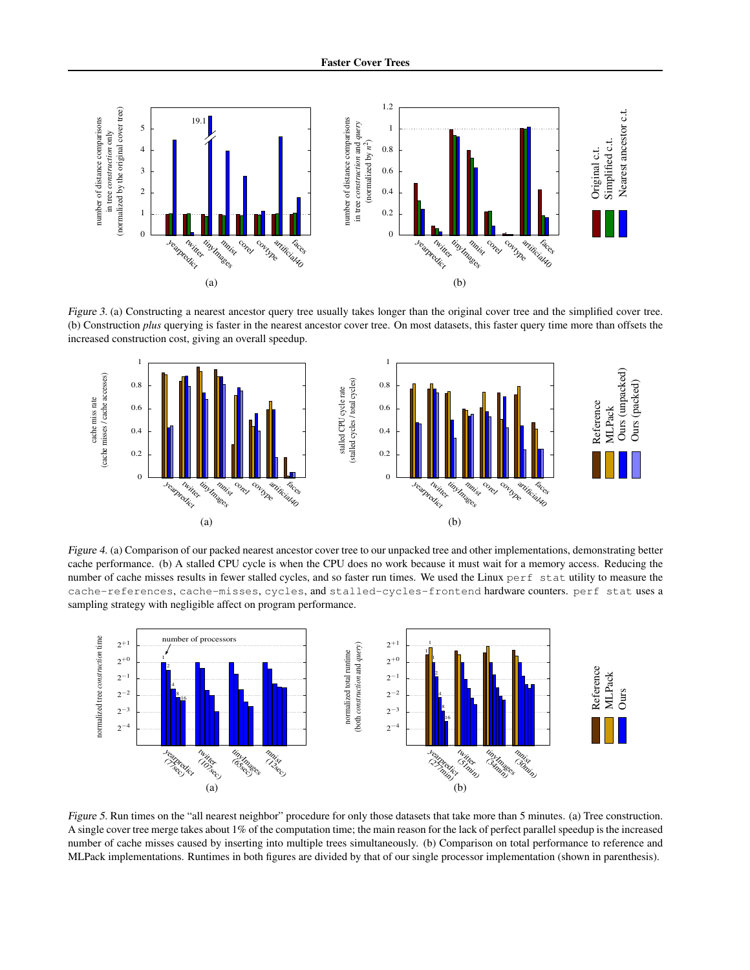

Figure 3. (a) Constructing a nearest ancestor query tree usually takes longer than the original cover tree and the simplified cover tree. (b) Construction *plus* querying is faster in the nearest ancestor cover tree. On most datasets, this faster query time more than offsets the increased construction cost, giving an overall speedup.



Figure 4. (a) Comparison of our packed nearest ancestor cover tree to our unpacked tree and other implementations, demonstrating better cache performance. (b) A stalled CPU cycle is when the CPU does no work because it must wait for a memory access. Reducing the number of cache misses results in fewer stalled cycles, and so faster run times. We used the Linux perf stat utility to measure the cache-references, cache-misses, cycles, and stalled-cycles-frontend hardware counters. perf stat uses a sampling strategy with negligible affect on program performance.



Figure 5. Run times on the "all nearest neighbor" procedure for only those datasets that take more than 5 minutes. (a) Tree construction. A single cover tree merge takes about 1% of the computation time; the main reason for the lack of perfect parallel speedup is the increased number of cache misses caused by inserting into multiple trees simultaneously. (b) Comparison on total performance to reference and MLPack implementations. Runtimes in both figures are divided by that of our single processor implementation (shown in parenthesis).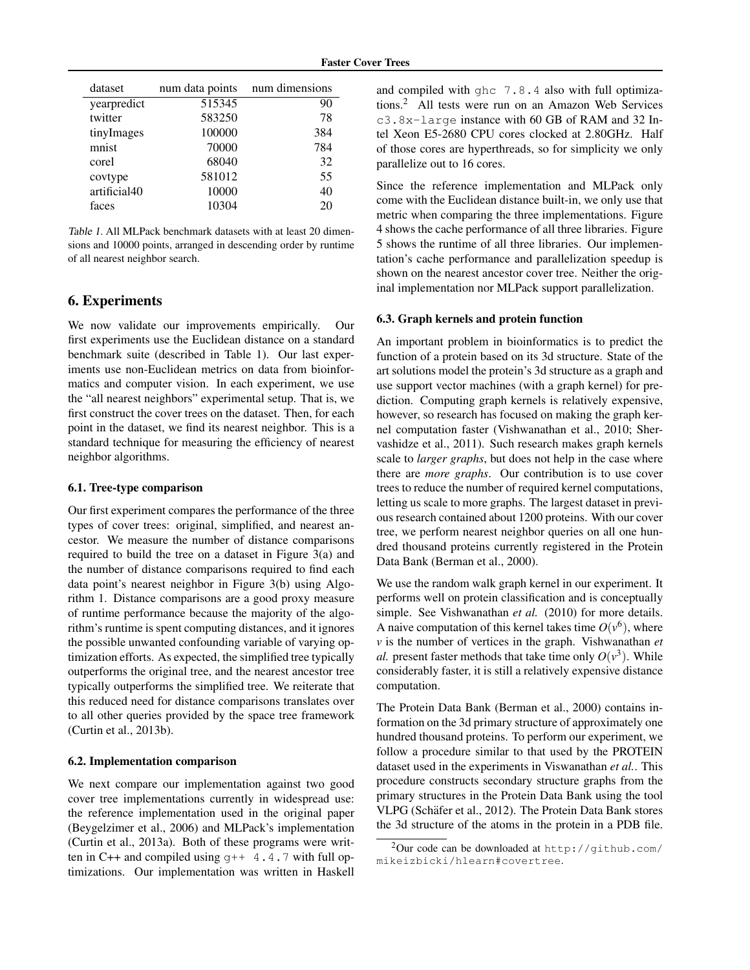| dataset      | num data points | num dimensions |
|--------------|-----------------|----------------|
| yearpredict  | 515345          | 90             |
| twitter      | 583250          | 78             |
| tinyImages   | 100000          | 384            |
| mnist        | 70000           | 784            |
| corel        | 68040           | 32             |
| covtype      | 581012          | 55             |
| artificial40 | 10000           | 40             |
| faces        | 10304           | 20             |

Table 1. All MLPack benchmark datasets with at least 20 dimensions and 10000 points, arranged in descending order by runtime of all nearest neighbor search.

# 6. Experiments

We now validate our improvements empirically. Our first experiments use the Euclidean distance on a standard benchmark suite (described in Table 1). Our last experiments use non-Euclidean metrics on data from bioinformatics and computer vision. In each experiment, we use the "all nearest neighbors" experimental setup. That is, we first construct the cover trees on the dataset. Then, for each point in the dataset, we find its nearest neighbor. This is a standard technique for measuring the efficiency of nearest neighbor algorithms.

#### 6.1. Tree-type comparison

Our first experiment compares the performance of the three types of cover trees: original, simplified, and nearest ancestor. We measure the number of distance comparisons required to build the tree on a dataset in Figure 3(a) and the number of distance comparisons required to find each data point's nearest neighbor in Figure 3(b) using Algorithm 1. Distance comparisons are a good proxy measure of runtime performance because the majority of the algorithm's runtime is spent computing distances, and it ignores the possible unwanted confounding variable of varying optimization efforts. As expected, the simplified tree typically outperforms the original tree, and the nearest ancestor tree typically outperforms the simplified tree. We reiterate that this reduced need for distance comparisons translates over to all other queries provided by the space tree framework (Curtin et al., 2013b).

#### 6.2. Implementation comparison

We next compare our implementation against two good cover tree implementations currently in widespread use: the reference implementation used in the original paper (Beygelzimer et al., 2006) and MLPack's implementation (Curtin et al., 2013a). Both of these programs were written in C++ and compiled using  $q++4.4.7$  with full optimizations. Our implementation was written in Haskell and compiled with ghc 7.8.4 also with full optimizations.<sup>2</sup> All tests were run on an Amazon Web Services c3.8x-large instance with 60 GB of RAM and 32 Intel Xeon E5-2680 CPU cores clocked at 2.80GHz. Half of those cores are hyperthreads, so for simplicity we only parallelize out to 16 cores.

Since the reference implementation and MLPack only come with the Euclidean distance built-in, we only use that metric when comparing the three implementations. Figure 4 shows the cache performance of all three libraries. Figure 5 shows the runtime of all three libraries. Our implementation's cache performance and parallelization speedup is shown on the nearest ancestor cover tree. Neither the original implementation nor MLPack support parallelization.

#### 6.3. Graph kernels and protein function

An important problem in bioinformatics is to predict the function of a protein based on its 3d structure. State of the art solutions model the protein's 3d structure as a graph and use support vector machines (with a graph kernel) for prediction. Computing graph kernels is relatively expensive, however, so research has focused on making the graph kernel computation faster (Vishwanathan et al., 2010; Shervashidze et al., 2011). Such research makes graph kernels scale to *larger graphs*, but does not help in the case where there are *more graphs*. Our contribution is to use cover trees to reduce the number of required kernel computations, letting us scale to more graphs. The largest dataset in previous research contained about 1200 proteins. With our cover tree, we perform nearest neighbor queries on all one hundred thousand proteins currently registered in the Protein Data Bank (Berman et al., 2000).

We use the random walk graph kernel in our experiment. It performs well on protein classification and is conceptually simple. See Vishwanathan *et al.* (2010) for more details. A naive computation of this kernel takes time  $O(v^6)$ , where *v* is the number of vertices in the graph. Vishwanathan *et al.* present faster methods that take time only  $O(v^3)$ . While considerably faster, it is still a relatively expensive distance computation.

The Protein Data Bank (Berman et al., 2000) contains information on the 3d primary structure of approximately one hundred thousand proteins. To perform our experiment, we follow a procedure similar to that used by the PROTEIN dataset used in the experiments in Viswanathan *et al.*. This procedure constructs secondary structure graphs from the primary structures in the Protein Data Bank using the tool VLPG (Schäfer et al., 2012). The Protein Data Bank stores the 3d structure of the atoms in the protein in a PDB file.

 $^2$ Our code can be downloaded at <code>http://github.com/</code> mikeizbicki/hlearn#covertree.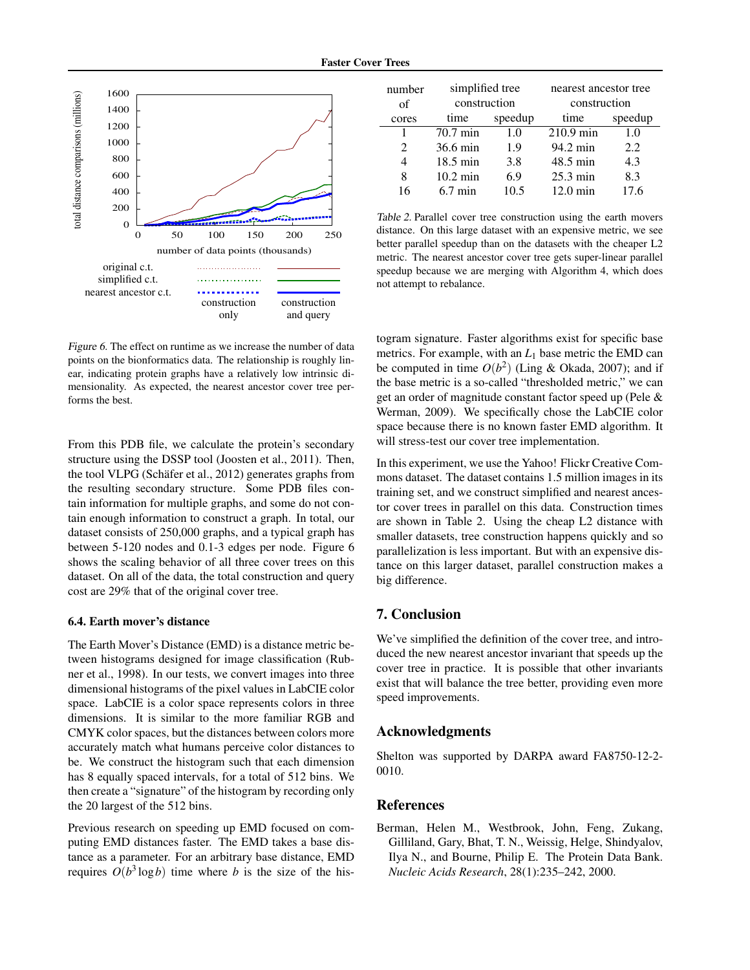

Figure 6. The effect on runtime as we increase the number of data points on the bionformatics data. The relationship is roughly linear, indicating protein graphs have a relatively low intrinsic dimensionality. As expected, the nearest ancestor cover tree performs the best.

From this PDB file, we calculate the protein's secondary structure using the DSSP tool (Joosten et al., 2011). Then, the tool VLPG (Schäfer et al., 2012) generates graphs from the resulting secondary structure. Some PDB files contain information for multiple graphs, and some do not contain enough information to construct a graph. In total, our dataset consists of 250,000 graphs, and a typical graph has between 5-120 nodes and 0.1-3 edges per node. Figure 6 shows the scaling behavior of all three cover trees on this dataset. On all of the data, the total construction and query cost are 29% that of the original cover tree.

#### 6.4. Earth mover's distance

The Earth Mover's Distance (EMD) is a distance metric between histograms designed for image classification (Rubner et al., 1998). In our tests, we convert images into three dimensional histograms of the pixel values in LabCIE color space. LabCIE is a color space represents colors in three dimensions. It is similar to the more familiar RGB and CMYK color spaces, but the distances between colors more accurately match what humans perceive color distances to be. We construct the histogram such that each dimension has 8 equally spaced intervals, for a total of 512 bins. We then create a "signature" of the histogram by recording only the 20 largest of the 512 bins.

Previous research on speeding up EMD focused on computing EMD distances faster. The EMD takes a base distance as a parameter. For an arbitrary base distance, EMD requires  $O(b^3 \log b)$  time where *b* is the size of the his-

| number<br>of                | simplified tree<br>construction |         | nearest ancestor tree<br>construction |         |
|-----------------------------|---------------------------------|---------|---------------------------------------|---------|
| cores                       | time                            | speedup | time                                  | speedup |
|                             | 70.7 min                        | 1.0     | $210.9$ min                           | 1.0     |
| $\mathcal{D}_{\mathcal{L}}$ | 36.6 min                        | 1.9     | 94.2 min                              | 2.2     |
|                             | $18.5 \text{ min}$              | 3.8     | 48.5 min                              | 4.3     |
| 8                           | $10.2 \text{ min}$              | 6.9     | $25.3 \text{ min}$                    | 8.3     |
| 16                          | $6.7 \text{ min}$               | 10.5    | $12.0 \text{ min}$                    | 17.6    |

Table 2. Parallel cover tree construction using the earth movers distance. On this large dataset with an expensive metric, we see better parallel speedup than on the datasets with the cheaper L2 metric. The nearest ancestor cover tree gets super-linear parallel speedup because we are merging with Algorithm 4, which does not attempt to rebalance.

togram signature. Faster algorithms exist for specific base metrics. For example, with an *L*<sup>1</sup> base metric the EMD can be computed in time  $O(b^2)$  (Ling & Okada, 2007); and if the base metric is a so-called "thresholded metric," we can get an order of magnitude constant factor speed up (Pele & Werman, 2009). We specifically chose the LabCIE color space because there is no known faster EMD algorithm. It will stress-test our cover tree implementation.

In this experiment, we use the Yahoo! Flickr Creative Commons dataset. The dataset contains 1.5 million images in its training set, and we construct simplified and nearest ancestor cover trees in parallel on this data. Construction times are shown in Table 2. Using the cheap L2 distance with smaller datasets, tree construction happens quickly and so parallelization is less important. But with an expensive distance on this larger dataset, parallel construction makes a big difference.

## 7. Conclusion

We've simplified the definition of the cover tree, and introduced the new nearest ancestor invariant that speeds up the cover tree in practice. It is possible that other invariants exist that will balance the tree better, providing even more speed improvements.

## Acknowledgments

Shelton was supported by DARPA award FA8750-12-2- 0010.

## References

Berman, Helen M., Westbrook, John, Feng, Zukang, Gilliland, Gary, Bhat, T. N., Weissig, Helge, Shindyalov, Ilya N., and Bourne, Philip E. The Protein Data Bank. *Nucleic Acids Research*, 28(1):235–242, 2000.